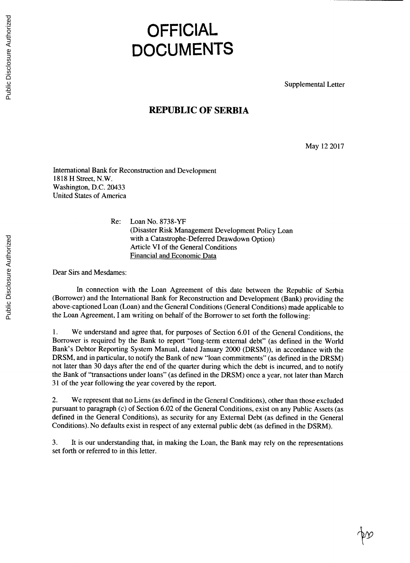## **OFFICIAL DOCUMENTS**

Supplemental Letter

## **REPUBLIC OF SERBIA**

May 12 **2017**

**(** *r*

International Bank for Reconstruction and Development **1818** H Street, N.W. Washington, **D.C.** 20433 United States **of** America

> Re: Loan No. **8738-YF** (Disaster Risk Management Development Policy Loan with a Catastrophe-Deferred Drawdown Option) Article VI of the General Conditions Financial and Economic Data

Dear Sirs and Mesdames:

In connection with the Loan Agreement **of** this date between the Republic of Serbia (Borrower) and the International Bank for Reconstruction and Development (Bank) providing the above-captioned Loan (Loan) and the General Conditions (General Conditions) made applicable to the Loan Agreement, **I** am writing on behalf of the Borrower to set forth the following:

**1.** We understand and agree that, for purposes of Section **6.01** of the General Conditions, the Borrower is required **by** the Bank to report "long-term external debt" (as defined in the World Bank's Debtor Reporting System Manual, dated January 2000 (DRSM)), in accordance with the DRSM, and in particular, to notify the Bank of new "loan commitments" (as defined in the DRSM) not later than **30** days after the end of the quarter during which the debt is incurred, and to notify the Bank of "transactions under loans" (as defined in the DRSM) once a year, not later than March **31** of the year following the year covered **by** the report.

2. We represent that no Liens (as defined in the General Conditions), other than those excluded pursuant to paragraph (c) of Section **6.02** of the General Conditions, exist on any Public Assets (as defined in the General Conditions), as security for any External Debt (as defined in the General Conditions). No defaults exist in respect of any external public debt (as defined in the DSRM).

**3.** It is our understanding that, in making the Loan, the Bank may rely on the representations set forth or referred to in this letter.